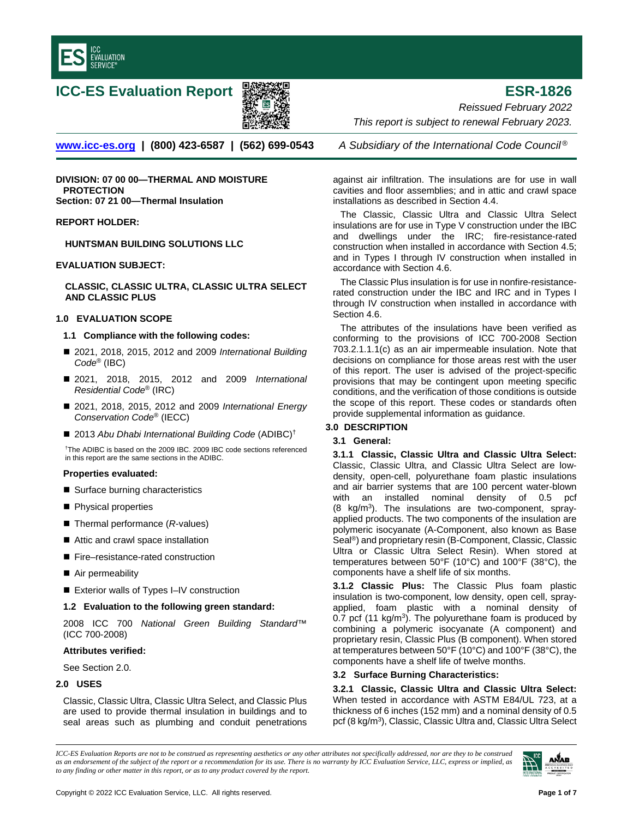



**ICC-ES Evaluation Report ESR-1826** *Reissued February 2022 This report is subject to renewal February 2023.* 

**[www.icc-es.org](http://www.icc-es.org/) | (800) 423-6587 | (562) 699-0543** *A Subsidiary of the International Code Council ®*

**DIVISION: 07 00 00—THERMAL AND MOISTURE PROTECTION Section: 07 21 00—Thermal Insulation**

## **REPORT HOLDER:**

**HUNTSMAN BUILDING SOLUTIONS LLC**

## **EVALUATION SUBJECT:**

**CLASSIC, CLASSIC ULTRA, CLASSIC ULTRA SELECT AND CLASSIC PLUS**

#### **1.0 EVALUATION SCOPE**

- **1.1 Compliance with the following codes:**
- 2021, 2018, 2015, 2012 and 2009 *International Building Code*® (IBC)
- 2021, 2018, 2015, 2012 and 2009 *International Residential Code*® (IRC)
- 2021, 2018, 2015, 2012 and 2009 *International Energy Conservation Code*® (IECC)
- 2013 Abu Dhabi International Building Code (ADIBC)<sup>†</sup>

†The ADIBC is based on the 2009 IBC. 2009 IBC code sections referenced in this report are the same sections in the ADIBC.

#### **Properties evaluated:**

- Surface burning characteristics
- Physical properties
- Thermal performance (*R*-values)
- Attic and crawl space installation
- Fire–resistance-rated construction
- Air permeability
- Exterior walls of Types I–IV construction

#### **1.2 Evaluation to the following green standard:**

2008 ICC 700 *National Green Building Standard*™ (ICC 700-2008)

#### **Attributes verified:**

See Section 2.0.

## **2.0 USES**

Classic, Classic Ultra, Classic Ultra Select, and Classic Plus are used to provide thermal insulation in buildings and to seal areas such as plumbing and conduit penetrations

against air infiltration. The insulations are for use in wall cavities and floor assemblies; and in attic and crawl space installations as described in Section 4.4.

The Classic, Classic Ultra and Classic Ultra Select insulations are for use in Type V construction under the IBC and dwellings under the IRC; fire-resistance-rated construction when installed in accordance with Section 4.5; and in Types I through IV construction when installed in accordance with Section 4.6.

The Classic Plus insulation is for use in nonfire-resistancerated construction under the IBC and IRC and in Types I through IV construction when installed in accordance with Section 4.6.

The attributes of the insulations have been verified as conforming to the provisions of ICC 700-2008 Section 703.2.1.1.1(c) as an air impermeable insulation. Note that decisions on compliance for those areas rest with the user of this report. The user is advised of the project-specific provisions that may be contingent upon meeting specific conditions, and the verification of those conditions is outside the scope of this report. These codes or standards often provide supplemental information as guidance.

# **3.0 DESCRIPTION**

## **3.1 General:**

**3.1.1 Classic, Classic Ultra and Classic Ultra Select:** Classic, Classic Ultra, and Classic Ultra Select are lowdensity, open-cell, polyurethane foam plastic insulations and air barrier systems that are 100 percent water-blown with an installed nominal density of 0.5 pcf  $(8 \text{ kg/m}^3)$ . The insulations are two-component, sprayapplied products. The two components of the insulation are polymeric isocyanate (A-Component, also known as Base Seal®) and proprietary resin (B-Component, Classic, Classic Ultra or Classic Ultra Select Resin). When stored at temperatures between 50°F (10°C) and 100°F (38°C), the components have a shelf life of six months.

**3.1.2 Classic Plus:** The Classic Plus foam plastic insulation is two-component, low density, open cell, sprayapplied, foam plastic with a nominal density of 0.7 pcf (11 kg/ $m<sup>3</sup>$ ). The polyurethane foam is produced by combining a polymeric isocyanate (A component) and proprietary resin, Classic Plus (B component). When stored at temperatures between 50°F (10°C) and 100°F (38°C), the components have a shelf life of twelve months.

## **3.2 Surface Burning Characteristics:**

**3.2.1 Classic, Classic Ultra and Classic Ultra Select:** When tested in accordance with ASTM E84/UL 723, at a thickness of 6 inches (152 mm) and a nominal density of 0.5 pcf (8 kg/m<sup>3</sup>), Classic, Classic Ultra and, Classic Ultra Select

*ICC-ES Evaluation Reports are not to be construed as representing aesthetics or any other attributes not specifically addressed, nor are they to be construed as an endorsement of the subject of the report or a recommendation for its use. There is no warranty by ICC Evaluation Service, LLC, express or implied, as to any finding or other matter in this report, or as to any product covered by the report.*

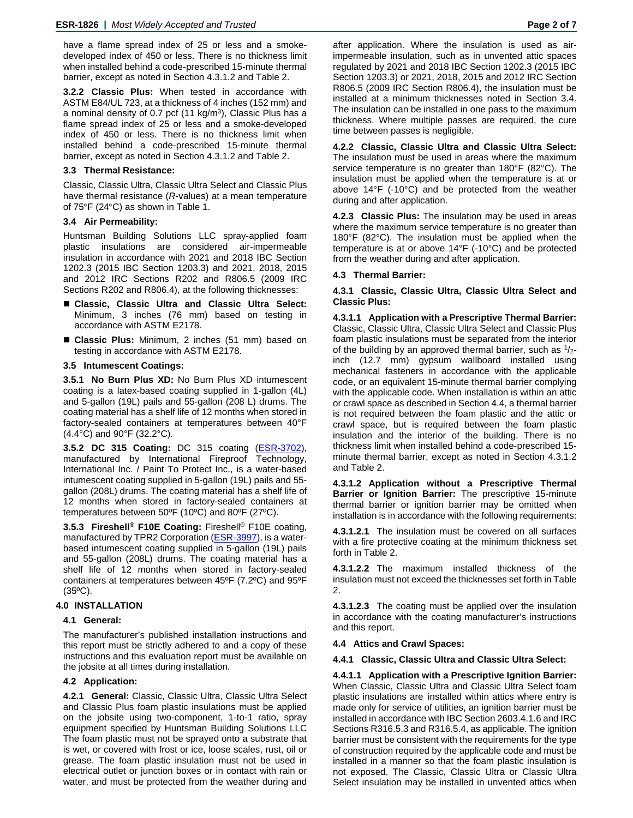have a flame spread index of 25 or less and a smokedeveloped index of 450 or less. There is no thickness limit when installed behind a code-prescribed 15-minute thermal barrier, except as noted in Section 4.3.1.2 and Table 2.

**3.2.2 Classic Plus:** When tested in accordance with ASTM E84/UL 723, at a thickness of 4 inches (152 mm) and a nominal density of 0.7 pcf  $(11 \text{ kg/m}^3)$ , Classic Plus has a flame spread index of 25 or less and a smoke-developed index of 450 or less. There is no thickness limit when installed behind a code-prescribed 15-minute thermal barrier, except as noted in Section 4.3.1.2 and Table 2.

## **3.3 Thermal Resistance:**

Classic, Classic Ultra, Classic Ultra Select and Classic Plus have thermal resistance (*R*-values) at a mean temperature of 75°F (24°C) as shown in Table 1.

## **3.4 Air Permeability:**

Huntsman Building Solutions LLC spray-applied foam plastic insulations are considered air-impermeable insulation in accordance with 2021 and 2018 IBC Section 1202.3 (2015 IBC Section 1203.3) and 2021, 2018, 2015 and 2012 IRC Sections R202 and R806.5 (2009 IRC Sections R202 and R806.4), at the following thicknesses:

- **Classic, Classic Ultra and Classic Ultra Select:** Minimum, 3 inches (76 mm) based on testing in accordance with ASTM E2178.
- **Classic Plus:** Minimum, 2 inches (51 mm) based on testing in accordance with ASTM E2178.

## **3.5 Intumescent Coatings:**

**3.5.1 No Burn Plus XD:** No Burn Plus XD intumescent coating is a latex-based coating supplied in 1-gallon (4L) and 5-gallon (19L) pails and 55-gallon (208 L) drums. The coating material has a shelf life of 12 months when stored in factory-sealed containers at temperatures between 40°F (4.4°C) and 90°F (32.2°C).

**3.5.2 DC 315 Coating:** DC 315 coating [\(ESR-3702\)](https://icc-es.org/wp-content/uploads/report-directory/ESR-3702.pdf), manufactured by International Fireproof Technology, International Inc. / Paint To Protect Inc., is a water-based intumescent coating supplied in 5-gallon (19L) pails and 55 gallon (208L) drums. The coating material has a shelf life of 12 months when stored in factory-sealed containers at temperatures between 50ºF (10ºC) and 80ºF (27ºC).

**3.5.3 Fireshell® F10E Coating:** Fireshell® F10E coating, manufactured by TPR2 Corporation [\(ESR-3997\)](https://icc-es.org/wp-content/uploads/report-directory/ESR-3997.pdf), is a waterbased intumescent coating supplied in 5-gallon (19L) pails and 55-gallon (208L) drums. The coating material has a shelf life of 12 months when stored in factory-sealed containers at temperatures between 45ºF (7.2ºC) and 95ºF (35ºC).

## **4.0 INSTALLATION**

## **4.1 General:**

The manufacturer's published installation instructions and this report must be strictly adhered to and a copy of these instructions and this evaluation report must be available on the jobsite at all times during installation.

## **4.2 Application:**

**4.2.1 General:** Classic, Classic Ultra, Classic Ultra Select and Classic Plus foam plastic insulations must be applied on the jobsite using two-component, 1-to-1 ratio, spray equipment specified by Huntsman Building Solutions LLC The foam plastic must not be sprayed onto a substrate that is wet, or covered with frost or ice, loose scales, rust, oil or grease. The foam plastic insulation must not be used in electrical outlet or junction boxes or in contact with rain or water, and must be protected from the weather during and after application. Where the insulation is used as airimpermeable insulation, such as in unvented attic spaces regulated by 2021 and 2018 IBC Section 1202.3 (2015 IBC Section 1203.3) or 2021, 2018, 2015 and 2012 IRC Section R806.5 (2009 IRC Section R806.4), the insulation must be installed at a minimum thicknesses noted in Section 3.4. The insulation can be installed in one pass to the maximum thickness. Where multiple passes are required, the cure time between passes is negligible.

**4.2.2 Classic, Classic Ultra and Classic Ultra Select:** The insulation must be used in areas where the maximum service temperature is no greater than 180°F (82°C). The insulation must be applied when the temperature is at or above 14°F (-10°C) and be protected from the weather during and after application.

**4.2.3 Classic Plus:** The insulation may be used in areas where the maximum service temperature is no greater than 180°F (82°C). The insulation must be applied when the temperature is at or above 14°F (-10°C) and be protected from the weather during and after application.

## **4.3 Thermal Barrier:**

**4.3.1 Classic, Classic Ultra, Classic Ultra Select and Classic Plus:**

**4.3.1.1 Application with a Prescriptive Thermal Barrier:** Classic, Classic Ultra, Classic Ultra Select and Classic Plus foam plastic insulations must be separated from the interior of the building by an approved thermal barrier, such as  $\frac{1}{2}$ inch (12.7 mm) gypsum wallboard installed using mechanical fasteners in accordance with the applicable code, or an equivalent 15-minute thermal barrier complying with the applicable code. When installation is within an attic or crawl space as described in Section 4.4, a thermal barrier is not required between the foam plastic and the attic or crawl space, but is required between the foam plastic insulation and the interior of the building. There is no thickness limit when installed behind a code-prescribed 15 minute thermal barrier, except as noted in Section 4.3.1.2 and Table 2.

**4.3.1.2 Application without a Prescriptive Thermal Barrier or Ignition Barrier:** The prescriptive 15-minute thermal barrier or ignition barrier may be omitted when installation is in accordance with the following requirements:

**4.3.1.2.1** The insulation must be covered on all surfaces with a fire protective coating at the minimum thickness set forth in Table 2.

**4.3.1.2.2** The maximum installed thickness of the insulation must not exceed the thicknesses set forth in Table 2.

**4.3.1.2.3** The coating must be applied over the insulation in accordance with the coating manufacturer's instructions and this report.

## **4.4 Attics and Crawl Spaces:**

#### **4.4.1 Classic, Classic Ultra and Classic Ultra Select:**

**4.4.1.1 Application with a Prescriptive Ignition Barrier:** When Classic, Classic Ultra and Classic Ultra Select foam plastic insulations are installed within attics where entry is made only for service of utilities, an ignition barrier must be installed in accordance with IBC Section 2603.4.1.6 and IRC Sections R316.5.3 and R316.5.4, as applicable. The ignition barrier must be consistent with the requirements for the type of construction required by the applicable code and must be installed in a manner so that the foam plastic insulation is not exposed. The Classic, Classic Ultra or Classic Ultra Select insulation may be installed in unvented attics when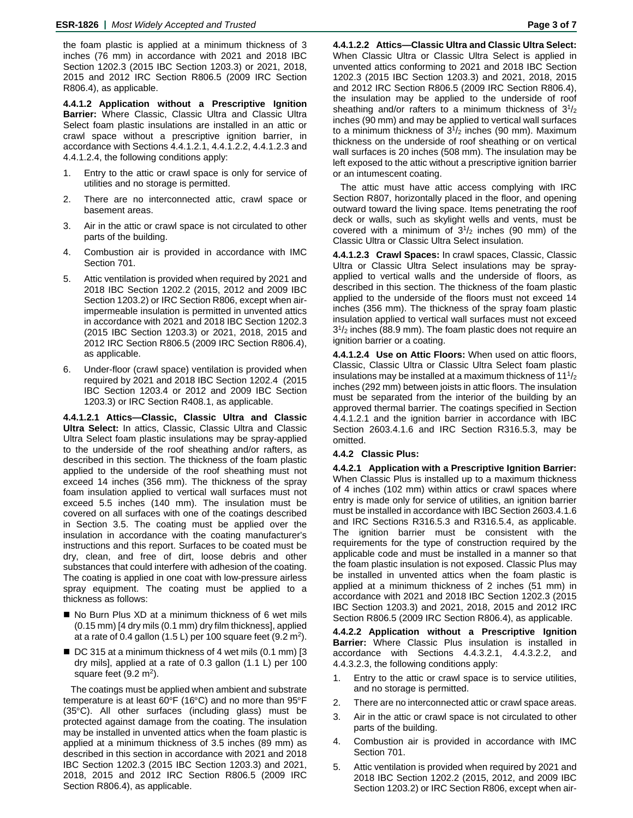the foam plastic is applied at a minimum thickness of 3 inches (76 mm) in accordance with 2021 and 2018 IBC Section 1202.3 (2015 IBC Section 1203.3) or 2021, 2018, 2015 and 2012 IRC Section R806.5 (2009 IRC Section R806.4), as applicable.

**4.4.1.2 Application without a Prescriptive Ignition Barrier:** Where Classic, Classic Ultra and Classic Ultra Select foam plastic insulations are installed in an attic or crawl space without a prescriptive ignition barrier, in accordance with Sections 4.4.1.2.1, 4.4.1.2.2, 4.4.1.2.3 and 4.4.1.2.4, the following conditions apply:

- 1. Entry to the attic or crawl space is only for service of utilities and no storage is permitted.
- 2. There are no interconnected attic, crawl space or basement areas.
- 3. Air in the attic or crawl space is not circulated to other parts of the building.
- 4. Combustion air is provided in accordance with IMC Section 701.
- 5. Attic ventilation is provided when required by 2021 and 2018 IBC Section 1202.2 (2015, 2012 and 2009 IBC Section 1203.2) or IRC Section R806, except when airimpermeable insulation is permitted in unvented attics in accordance with 2021 and 2018 IBC Section 1202.3 (2015 IBC Section 1203.3) or 2021, 2018, 2015 and 2012 IRC Section R806.5 (2009 IRC Section R806.4), as applicable.
- 6. Under-floor (crawl space) ventilation is provided when required by 2021 and 2018 IBC Section 1202.4 (2015 IBC Section 1203.4 or 2012 and 2009 IBC Section 1203.3) or IRC Section R408.1, as applicable.

**4.4.1.2.1 Attics—Classic, Classic Ultra and Classic Ultra Select:** In attics, Classic, Classic Ultra and Classic Ultra Select foam plastic insulations may be spray-applied to the underside of the roof sheathing and/or rafters, as described in this section. The thickness of the foam plastic applied to the underside of the roof sheathing must not exceed 14 inches (356 mm). The thickness of the spray foam insulation applied to vertical wall surfaces must not exceed 5.5 inches (140 mm). The insulation must be covered on all surfaces with one of the coatings described in Section 3.5. The coating must be applied over the insulation in accordance with the coating manufacturer's instructions and this report. Surfaces to be coated must be dry, clean, and free of dirt, loose debris and other substances that could interfere with adhesion of the coating. The coating is applied in one coat with low-pressure airless spray equipment. The coating must be applied to a thickness as follows:

- No Burn Plus XD at a minimum thickness of 6 wet mils (0.15 mm) [4 dry mils (0.1 mm) dry film thickness], applied at a rate of 0.4 gallon (1.5 L) per 100 square feet (9.2 m<sup>2</sup>).
- DC 315 at a minimum thickness of 4 wet mils (0.1 mm) [3 dry mils], applied at a rate of 0.3 gallon (1.1 L) per 100 square feet  $(9.2 \text{ m}^2)$ .

The coatings must be applied when ambient and substrate temperature is at least 60°F (16°C) and no more than 95°F (35°C). All other surfaces (including glass) must be protected against damage from the coating. The insulation may be installed in unvented attics when the foam plastic is applied at a minimum thickness of 3.5 inches (89 mm) as described in this section in accordance with 2021 and 2018 IBC Section 1202.3 (2015 IBC Section 1203.3) and 2021, 2018, 2015 and 2012 IRC Section R806.5 (2009 IRC Section R806.4), as applicable.

**4.4.1.2.2 Attics—Classic Ultra and Classic Ultra Select:** When Classic Ultra or Classic Ultra Select is applied in unvented attics conforming to 2021 and 2018 IBC Section 1202.3 (2015 IBC Section 1203.3) and 2021, 2018, 2015 and 2012 IRC Section R806.5 (2009 IRC Section R806.4), the insulation may be applied to the underside of roof sheathing and/or rafters to a minimum thickness of  $3^{1}/_{2}$ inches (90 mm) and may be applied to vertical wall surfaces to a minimum thickness of  $3^{1}/2$  inches (90 mm). Maximum thickness on the underside of roof sheathing or on vertical wall surfaces is 20 inches (508 mm). The insulation may be left exposed to the attic without a prescriptive ignition barrier or an intumescent coating.

The attic must have attic access complying with IRC Section R807, horizontally placed in the floor, and opening outward toward the living space. Items penetrating the roof deck or walls, such as skylight wells and vents, must be covered with a minimum of  $3^{1}/2$  inches (90 mm) of the Classic Ultra or Classic Ultra Select insulation.

**4.4.1.2.3 Crawl Spaces:** In crawl spaces, Classic, Classic Ultra or Classic Ultra Select insulations may be sprayapplied to vertical walls and the underside of floors, as described in this section. The thickness of the foam plastic applied to the underside of the floors must not exceed 14 inches (356 mm). The thickness of the spray foam plastic insulation applied to vertical wall surfaces must not exceed 31/2 inches (88.9 mm). The foam plastic does not require an ignition barrier or a coating.

**4.4.1.2.4 Use on Attic Floors:** When used on attic floors, Classic, Classic Ultra or Classic Ultra Select foam plastic insulations may be installed at a maximum thickness of  $11^{1/2}$ inches (292 mm) between joists in attic floors. The insulation must be separated from the interior of the building by an approved thermal barrier. The coatings specified in Section 4.4.1.2.1 and the ignition barrier in accordance with IBC Section 2603.4.1.6 and IRC Section R316.5.3, may be omitted.

## **4.4.2 Classic Plus:**

**4.4.2.1 Application with a Prescriptive Ignition Barrier:** When Classic Plus is installed up to a maximum thickness of 4 inches (102 mm) within attics or crawl spaces where entry is made only for service of utilities, an ignition barrier must be installed in accordance with IBC Section 2603.4.1.6 and IRC Sections R316.5.3 and R316.5.4, as applicable. The ignition barrier must be consistent with the requirements for the type of construction required by the applicable code and must be installed in a manner so that the foam plastic insulation is not exposed. Classic Plus may be installed in unvented attics when the foam plastic is applied at a minimum thickness of 2 inches (51 mm) in accordance with 2021 and 2018 IBC Section 1202.3 (2015 IBC Section 1203.3) and 2021, 2018, 2015 and 2012 IRC Section R806.5 (2009 IRC Section R806.4), as applicable.

**4.4.2.2 Application without a Prescriptive Ignition Barrier:** Where Classic Plus insulation is installed in accordance with Sections 4.4.3.2.1, 4.4.3.2.2, and 4.4.3.2.3, the following conditions apply:

- 1. Entry to the attic or crawl space is to service utilities, and no storage is permitted.
- 2. There are no interconnected attic or crawl space areas.
- 3. Air in the attic or crawl space is not circulated to other parts of the building.
- 4. Combustion air is provided in accordance with IMC Section 701.
- 5. Attic ventilation is provided when required by 2021 and 2018 IBC Section 1202.2 (2015, 2012, and 2009 IBC Section 1203.2) or IRC Section R806, except when air-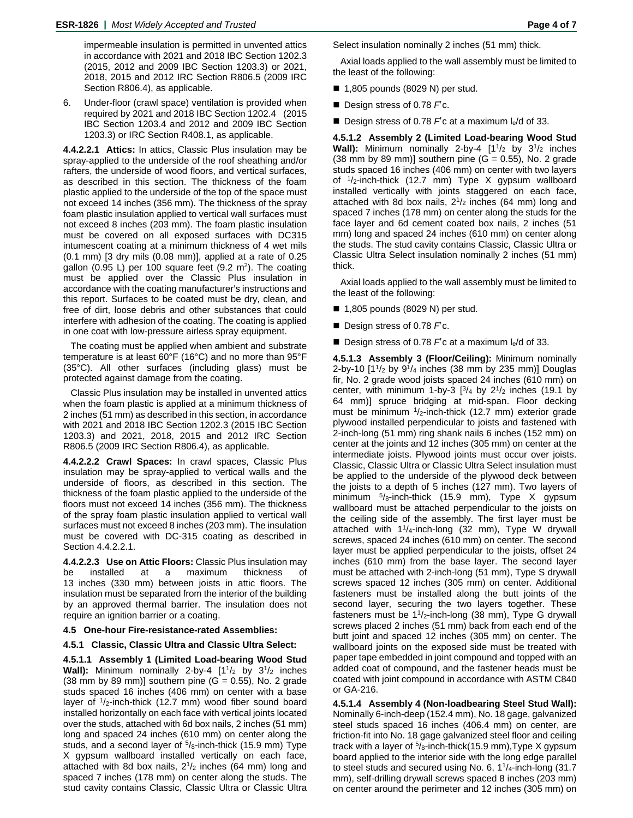impermeable insulation is permitted in unvented attics in accordance with 2021 and 2018 IBC Section 1202.3 (2015, 2012 and 2009 IBC Section 1203.3) or 2021, 2018, 2015 and 2012 IRC Section R806.5 (2009 IRC Section R806.4), as applicable.

6. Under-floor (crawl space) ventilation is provided when required by 2021 and 2018 IBC Section 1202.4 (2015 IBC Section 1203.4 and 2012 and 2009 IBC Section 1203.3) or IRC Section R408.1, as applicable.

**4.4.2.2.1 Attics:** In attics, Classic Plus insulation may be spray-applied to the underside of the roof sheathing and/or rafters, the underside of wood floors, and vertical surfaces, as described in this section. The thickness of the foam plastic applied to the underside of the top of the space must not exceed 14 inches (356 mm). The thickness of the spray foam plastic insulation applied to vertical wall surfaces must not exceed 8 inches (203 mm). The foam plastic insulation must be covered on all exposed surfaces with DC315 intumescent coating at a minimum thickness of 4 wet mils (0.1 mm) [3 dry mils (0.08 mm)], applied at a rate of 0.25 gallon  $(0.95 \text{ L})$  per 100 square feet  $(9.2 \text{ m}^2)$ . The coating must be applied over the Classic Plus insulation in accordance with the coating manufacturer's instructions and this report. Surfaces to be coated must be dry, clean, and free of dirt, loose debris and other substances that could interfere with adhesion of the coating. The coating is applied in one coat with low-pressure airless spray equipment.

The coating must be applied when ambient and substrate temperature is at least 60°F (16°C) and no more than 95°F (35°C). All other surfaces (including glass) must be protected against damage from the coating.

Classic Plus insulation may be installed in unvented attics when the foam plastic is applied at a minimum thickness of 2 inches (51 mm) as described in this section, in accordance with 2021 and 2018 IBC Section 1202.3 (2015 IBC Section 1203.3) and 2021, 2018, 2015 and 2012 IRC Section R806.5 (2009 IRC Section R806.4), as applicable.

**4.4.2.2.2 Crawl Spaces:** In crawl spaces, Classic Plus insulation may be spray-applied to vertical walls and the underside of floors, as described in this section. The thickness of the foam plastic applied to the underside of the floors must not exceed 14 inches (356 mm). The thickness of the spray foam plastic insulation applied to vertical wall surfaces must not exceed 8 inches (203 mm). The insulation must be covered with DC-315 coating as described in Section 4.4.2.2.1.

**4.4.2.2.3 Use on Attic Floors:** Classic Plus insulation may be installed at a maximum thickness of 13 inches (330 mm) between joists in attic floors. The insulation must be separated from the interior of the building by an approved thermal barrier. The insulation does not require an ignition barrier or a coating.

#### **4.5 One-hour Fire-resistance-rated Assemblies:**

#### **4.5.1 Classic, Classic Ultra and Classic Ultra Select:**

**4.5.1.1 Assembly 1 (Limited Load-bearing Wood Stud**  Wall): Minimum nominally 2-by-4 [1<sup>1</sup>/<sub>2</sub> by 3<sup>1</sup>/<sub>2</sub> inches  $(38 \text{ mm by } 89 \text{ mm})$ ] southern pine  $(G = 0.55)$ , No. 2 grade studs spaced 16 inches (406 mm) on center with a base layer of <sup>1</sup>/<sub>2</sub>-inch-thick (12.7 mm) wood fiber sound board installed horizontally on each face with vertical joints located over the studs, attached with 6d box nails, 2 inches (51 mm) long and spaced 24 inches (610 mm) on center along the studs, and a second layer of  $5/8$ -inch-thick (15.9 mm) Type X gypsum wallboard installed vertically on each face, attached with 8d box nails,  $2^{1/2}$  inches (64 mm) long and spaced 7 inches (178 mm) on center along the studs. The stud cavity contains Classic, Classic Ultra or Classic Ultra Select insulation nominally 2 inches (51 mm) thick.

Axial loads applied to the wall assembly must be limited to the least of the following:

- $\blacksquare$  1,805 pounds (8029 N) per stud.
- Design stress of 0.78 F<sup>'</sup>c.
- Design stress of 0.78 *F*<sup>c</sup> at a maximum l<sub>e</sub>/d of 33.

**4.5.1.2 Assembly 2 (Limited Load-bearing Wood Stud Wall):** Minimum nominally 2-by-4  $[1<sup>1</sup>/2$  by  $3<sup>1</sup>/2$  inches  $(38 \text{ mm by } 89 \text{ mm})$ ] southern pine  $(G = 0.55)$ , No. 2 grade studs spaced 16 inches (406 mm) on center with two layers of  $1/2$ -inch-thick (12.7 mm) Type X gypsum wallboard installed vertically with joints staggered on each face, attached with 8d box nails,  $2^{1}/2$  inches (64 mm) long and spaced 7 inches (178 mm) on center along the studs for the face layer and 6d cement coated box nails, 2 inches (51 mm) long and spaced 24 inches (610 mm) on center along the studs. The stud cavity contains Classic, Classic Ultra or Classic Ultra Select insulation nominally 2 inches (51 mm) thick.

Axial loads applied to the wall assembly must be limited to the least of the following:

- $\blacksquare$  1,805 pounds (8029 N) per stud.
- Design stress of 0.78 F<sup>'</sup>c.
- Design stress of 0.78 *F*<sup>c</sup> at a maximum le/d of 33.

**4.5.1.3 Assembly 3 (Floor/Ceiling):** Minimum nominally 2-by-10  $[1^{1/2}$  by  $9^{1/4}$  inches (38 mm by 235 mm)] Douglas fir, No. 2 grade wood joists spaced 24 inches (610 mm) on center, with minimum 1-by-3  $[3/4$  by  $2^{1/2}$  inches (19.1 by 64 mm)] spruce bridging at mid-span. Floor decking must be minimum  $\frac{1}{2}$ -inch-thick (12.7 mm) exterior grade plywood installed perpendicular to joists and fastened with 2-inch-long (51 mm) ring shank nails 6 inches (152 mm) on center at the joints and 12 inches (305 mm) on center at the intermediate joists. Plywood joints must occur over joists. Classic, Classic Ultra or Classic Ultra Select insulation must be applied to the underside of the plywood deck between the joists to a depth of 5 inches (127 mm). Two layers of minimum  $5/8$ -inch-thick (15.9 mm), Type X gypsum wallboard must be attached perpendicular to the joists on the ceiling side of the assembly. The first layer must be attached with 11/4-inch-long (32 mm), Type W drywall screws, spaced 24 inches (610 mm) on center. The second layer must be applied perpendicular to the joists, offset 24 inches (610 mm) from the base layer. The second layer must be attached with 2-inch-long (51 mm), Type S drywall screws spaced 12 inches (305 mm) on center. Additional fasteners must be installed along the butt joints of the second layer, securing the two layers together. These fasteners must be 11/2-inch-long (38 mm), Type G drywall screws placed 2 inches (51 mm) back from each end of the butt joint and spaced 12 inches (305 mm) on center. The wallboard joints on the exposed side must be treated with paper tape embedded in joint compound and topped with an added coat of compound, and the fastener heads must be coated with joint compound in accordance with ASTM C840 or GA-216.

**4.5.1.4 Assembly 4 (Non-loadbearing Steel Stud Wall):** Nominally 6-inch-deep (152.4 mm), No. 18 gage, galvanized steel studs spaced 16 inches (406.4 mm) on center, are friction-fit into No. 18 gage galvanized steel floor and ceiling track with a layer of  $5/8$ -inch-thick(15.9 mm), Type X gypsum board applied to the interior side with the long edge parallel to steel studs and secured using No. 6,  $1\frac{1}{4}$ -inch-long (31.7) mm), self-drilling drywall screws spaced 8 inches (203 mm) on center around the perimeter and 12 inches (305 mm) on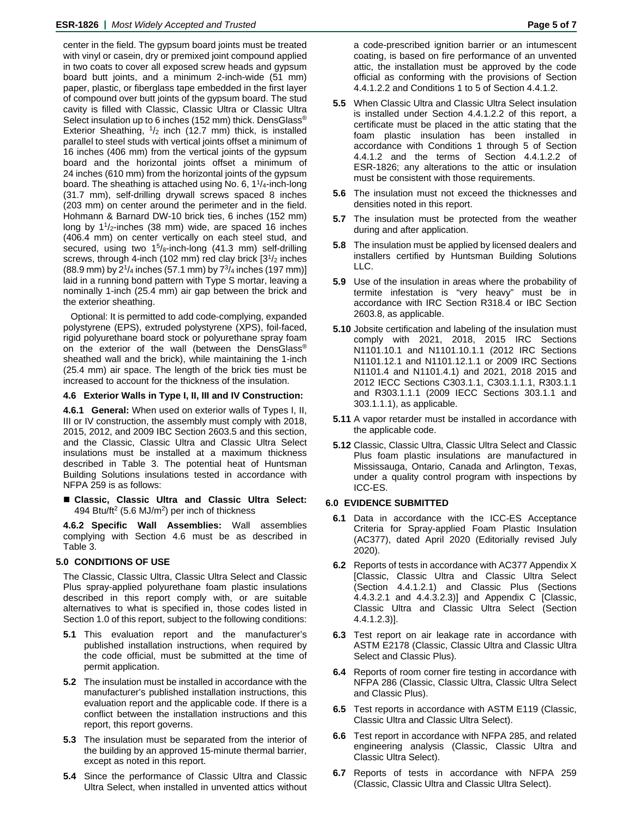center in the field. The gypsum board joints must be treated with vinyl or casein, dry or premixed joint compound applied in two coats to cover all exposed screw heads and gypsum board butt joints, and a minimum 2-inch-wide (51 mm) paper, plastic, or fiberglass tape embedded in the first layer of compound over butt joints of the gypsum board. The stud cavity is filled with Classic, Classic Ultra or Classic Ultra Select insulation up to 6 inches (152 mm) thick. DensGlass<sup>®</sup> Exterior Sheathing,  $1/2$  inch (12.7 mm) thick, is installed parallel to steel studs with vertical joints offset a minimum of 16 inches (406 mm) from the vertical joints of the gypsum board and the horizontal joints offset a minimum of 24 inches (610 mm) from the horizontal joints of the gypsum board. The sheathing is attached using No. 6, 11/4-inch-long (31.7 mm), self-drilling drywall screws spaced 8 inches (203 mm) on center around the perimeter and in the field. Hohmann & Barnard DW-10 brick ties, 6 inches (152 mm) long by  $1\frac{1}{2}$ -inches (38 mm) wide, are spaced 16 inches (406.4 mm) on center vertically on each steel stud, and secured, using two 1<sup>5</sup>/8-inch-long (41.3 mm) self-drilling screws, through 4-inch (102 mm) red clay brick  $[3<sup>1</sup>/2$  inches  $(88.9 \text{ mm})$  by  $2^{1}/_4$  inches (57.1 mm) by  $7^{3}/_4$  inches (197 mm)] laid in a running bond pattern with Type S mortar, leaving a nominally 1-inch (25.4 mm) air gap between the brick and the exterior sheathing.

Optional: It is permitted to add code-complying, expanded polystyrene (EPS), extruded polystyrene (XPS), foil-faced, rigid polyurethane board stock or polyurethane spray foam on the exterior of the wall (between the DensGlass® sheathed wall and the brick), while maintaining the 1-inch (25.4 mm) air space. The length of the brick ties must be increased to account for the thickness of the insulation.

## **4.6 Exterior Walls in Type I, II, III and IV Construction:**

**4.6.1 General:** When used on exterior walls of Types I, II, III or IV construction, the assembly must comply with 2018, 2015, 2012, and 2009 IBC Section 2603.5 and this section, and the Classic, Classic Ultra and Classic Ultra Select insulations must be installed at a maximum thickness described in Table 3. The potential heat of Huntsman Building Solutions insulations tested in accordance with NFPA 259 is as follows:

 **Classic, Classic Ultra and Classic Ultra Select:** 494 Btu/ft<sup>2</sup> (5.6 MJ/m<sup>2</sup>) per inch of thickness

**4.6.2 Specific Wall Assemblies:** Wall assemblies complying with Section 4.6 must be as described in Table 3.

## **5.0 CONDITIONS OF USE**

The Classic, Classic Ultra, Classic Ultra Select and Classic Plus spray-applied polyurethane foam plastic insulations described in this report comply with, or are suitable alternatives to what is specified in, those codes listed in Section 1.0 of this report, subject to the following conditions:

- **5.1** This evaluation report and the manufacturer's published installation instructions, when required by the code official, must be submitted at the time of permit application.
- **5.2** The insulation must be installed in accordance with the manufacturer's published installation instructions, this evaluation report and the applicable code. If there is a conflict between the installation instructions and this report, this report governs.
- **5.3** The insulation must be separated from the interior of the building by an approved 15-minute thermal barrier, except as noted in this report.
- **5.4** Since the performance of Classic Ultra and Classic Ultra Select, when installed in unvented attics without

a code-prescribed ignition barrier or an intumescent coating, is based on fire performance of an unvented attic, the installation must be approved by the code official as conforming with the provisions of Section 4.4.1.2.2 and Conditions 1 to 5 of Section 4.4.1.2.

- **5.5** When Classic Ultra and Classic Ultra Select insulation is installed under Section 4.4.1.2.2 of this report, a certificate must be placed in the attic stating that the foam plastic insulation has been installed in accordance with Conditions 1 through 5 of Section 4.4.1.2 and the terms of Section 4.4.1.2.2 of ESR-1826; any alterations to the attic or insulation must be consistent with those requirements.
- **5.6** The insulation must not exceed the thicknesses and densities noted in this report.
- **5.7** The insulation must be protected from the weather during and after application.
- **5.8** The insulation must be applied by licensed dealers and installers certified by Huntsman Building Solutions LLC.
- **5.9** Use of the insulation in areas where the probability of termite infestation is "very heavy" must be in accordance with IRC Section R318.4 or IBC Section 2603.8, as applicable.
- **5.10** Jobsite certification and labeling of the insulation must comply with 2021, 2018, 2015 IRC Sections N1101.10.1 and N1101.10.1.1 (2012 IRC Sections N1101.12.1 and N1101.12.1.1 or 2009 IRC Sections N1101.4 and N1101.4.1) and 2021, 2018 2015 and 2012 IECC Sections C303.1.1, C303.1.1.1, R303.1.1 and R303.1.1.1 (2009 IECC Sections 303.1.1 and 303.1.1.1), as applicable.
- **5.11** A vapor retarder must be installed in accordance with the applicable code.
- **5.12** Classic, Classic Ultra, Classic Ultra Select and Classic Plus foam plastic insulations are manufactured in Mississauga, Ontario, Canada and Arlington, Texas, under a quality control program with inspections by ICC-ES.

## **6.0 EVIDENCE SUBMITTED**

- **6.1** Data in accordance with the ICC-ES Acceptance Criteria for Spray-applied Foam Plastic Insulation (AC377), dated April 2020 (Editorially revised July 2020).
- **6.2** Reports of tests in accordance with AC377 Appendix X [Classic, Classic Ultra and Classic Ultra Select (Section 4.4.1.2.1) and Classic Plus (Sections 4.4.3.2.1 and 4.4.3.2.3)] and Appendix C [Classic, Classic Ultra and Classic Ultra Select (Section 4.4.1.2.3)].
- **6.3** Test report on air leakage rate in accordance with ASTM E2178 (Classic, Classic Ultra and Classic Ultra Select and Classic Plus).
- **6.4** Reports of room corner fire testing in accordance with NFPA 286 (Classic, Classic Ultra, Classic Ultra Select and Classic Plus).
- **6.5** Test reports in accordance with ASTM E119 (Classic, Classic Ultra and Classic Ultra Select).
- **6.6** Test report in accordance with NFPA 285, and related engineering analysis (Classic, Classic Ultra and Classic Ultra Select).
- **6.7** Reports of tests in accordance with NFPA 259 (Classic, Classic Ultra and Classic Ultra Select).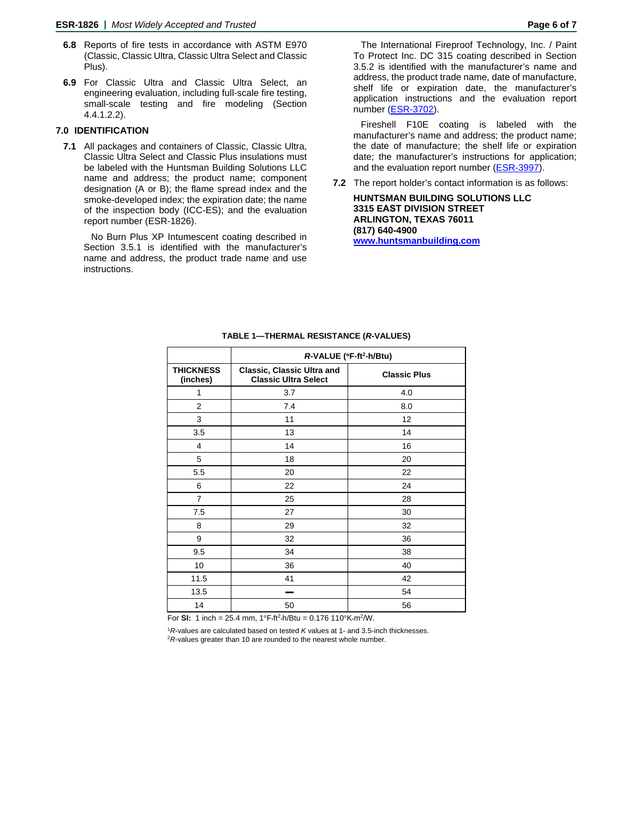- **6.8** Reports of fire tests in accordance with ASTM E970 (Classic, Classic Ultra, Classic Ultra Select and Classic Plus).
- **6.9** For Classic Ultra and Classic Ultra Select, an engineering evaluation, including full-scale fire testing, small-scale testing and fire modeling (Section 4.4.1.2.2).

## **7.0 IDENTIFICATION**

**7.1** All packages and containers of Classic, Classic Ultra, Classic Ultra Select and Classic Plus insulations must be labeled with the Huntsman Building Solutions LLC name and address; the product name; component designation (A or B); the flame spread index and the smoke-developed index; the expiration date; the name of the inspection body (ICC-ES); and the evaluation report number (ESR-1826).

No Burn Plus XP Intumescent coating described in Section 3.5.1 is identified with the manufacturer's name and address, the product trade name and use instructions.

The International Fireproof Technology, Inc. / Paint To Protect Inc. DC 315 coating described in Section 3.5.2 is identified with the manufacturer's name and address, the product trade name, date of manufacture, shelf life or expiration date, the manufacturer's application instructions and the evaluation report number [\(ESR-3702\)](https://icc-es.org/wp-content/uploads/report-directory/ESR-3702.pdf).

Fireshell F10E coating is labeled with the manufacturer's name and address; the product name; the date of manufacture; the shelf life or expiration date; the manufacturer's instructions for application; and the evaluation report number [\(ESR-3997\)](https://icc-es.org/wp-content/uploads/report-directory/ESR-3997.pdf).

**7.2** The report holder's contact information is as follows:

**HUNTSMAN BUILDING SOLUTIONS LLC 3315 EAST DIVISION STREET ARLINGTON, TEXAS 76011 (817) 640-4900 [www.huntsmanbuilding.com](http://www.huntsmanbuilding.com/)**

|                              | R-VALUE (°F·ft <sup>2</sup> ·h/Btu)                              |                     |  |
|------------------------------|------------------------------------------------------------------|---------------------|--|
| <b>THICKNESS</b><br>(inches) | <b>Classic, Classic Ultra and</b><br><b>Classic Ultra Select</b> | <b>Classic Plus</b> |  |
| 1                            | 3.7                                                              | 4.0                 |  |
| $\overline{2}$               | 7.4                                                              | 8.0                 |  |
| 3                            | 11                                                               | 12                  |  |
| 3.5                          | 13                                                               | 14                  |  |
| 4                            | 14                                                               | 16                  |  |
| 5                            | 18                                                               | 20                  |  |
| 5.5                          | 20                                                               | 22                  |  |
| 6                            | 22                                                               | 24                  |  |
| $\overline{7}$               | 25                                                               | 28                  |  |
| 7.5                          | 27                                                               | 30                  |  |
| 8                            | 29                                                               | 32                  |  |
| 9                            | 32                                                               | 36                  |  |
| 9.5                          | 34                                                               | 38                  |  |
| 10                           | 36                                                               | 40                  |  |
| 11.5                         | 41                                                               | 42                  |  |
| 13.5                         |                                                                  | 54                  |  |
| 14                           | 50                                                               | 56                  |  |

#### **TABLE 1—THERMAL RESISTANCE (***R***-VALUES)**

For **SI:** 1 inch = 25.4 mm, 1°F⋅ft2⋅h/Btu = 0.176 110°K⋅m2/W.

<sup>1</sup>*R*-values are calculated based on tested *K* values at 1- and 3.5-inch thicknesses. 2*R*-values greater than 10 are rounded to the nearest whole number.